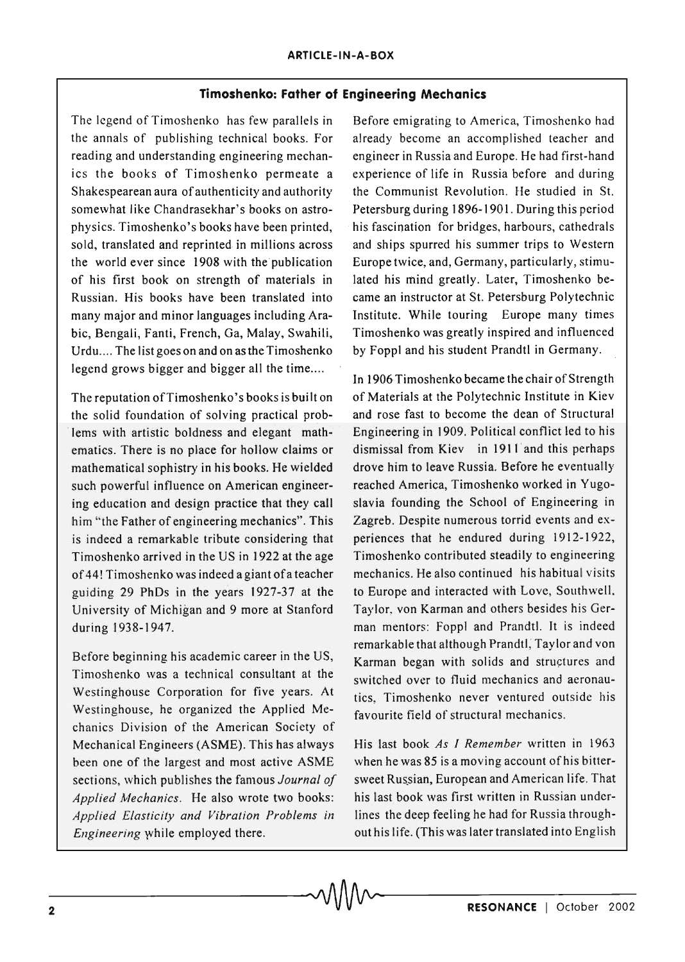## **Timoshenko: Father of Engineering Mechanics**

The legend of Timoshenko has few parallels in the annals of publishing technical books. For reading and understanding engineering mechanics the books of Timoshenko permeate a Shakespearean aura of authenticity and authority somewhat like Chandrasekhar's books on astrophysics. Timoshenko's books have been printed, sold, translated and reprinted in millions across the world ever since 1908 with the publication of his first book on strength of materials in Russian. His books have been translated into many major and minor languages including Arabic, Bengali, Fanti, French, Ga, Malay, Swahili, Urdu.... The list goes on and on as the Timoshenko legend grows bigger and bigger all the time....

The reputation of Timoshenko's books is built on the solid foundation of solving practical problems with artistic boldness and elegant mathematics. There is no place for hollow claims or mathematical sophistry in his books. He wielded such powerful influence on American engineering education and design practice that they call him "the Father of engineering mechanics". This is indeed a remarkable tribute considering that Timoshenko arrived in the US in 1922 at the age of 44! Timoshenko was indeed a giant ofa teacher guiding 29 PhDs in the years 1927-37 at the University of Michigan and 9 more at Stanford during 1938-1947.

Before beginning his academic career in the US, Timoshenko was a technical consultant at the Westinghouse Corporation for five years. At Westinghouse, he organized the Applied Mechanics Division of the American Society of Mechanical Engineers (ASME). This has always been one of the largest and most active ASME sections, which publishes the famous *Journal of Applied Mechanics.* He also wrote two books: *Applied Elasticity and Vibration Problems in Engineering* while employed there.

Before emigrating to America, Timoshenko had already become an accomplished teacher and engineer in Russia and Europe. He had first-hand experience of life in Russia before and during the Communist Revolution. He studied in St. Petersburg during 1896-1901. During this period his fascination for bridges, harbours, cathedrals and ships spurred his summer trips to Western Europe twice, and, Germany, particularly, stimulated his mind greatly. Later, Timoshenko became an instructor at St. Petersburg Polytechnic Institute. While touring Europe many times Timoshenko was greatly inspired and influenced by Foppl and his student Prandtl in Germany.

In 1906 Timoshenko became the chair of Strength of Materials at the Polytechnic Institute in Kiev and rose fast to become the dean of Structural Engineering in 1909. Political conflict led to his dismissal from Kiev in 1911 and this perhaps drove him to leave Russia. Before he eventually reached America, Timoshenko worked in Yugoslavia founding the School of Engineering in Zagreb. Despite numerous torrid events and experiences that he endured during 1912-1922, Timoshenko contributed steadily to engineering mechanics. He also continued his habitual visits to Europe and interacted with Love, Southwell. Taylor, von Karman and others besides his German mentors: Foppl and Prandtl. It is indeed remarkable that although Prandtl; Taylor and von Karman began with solids and structures and switched over to fluid mechanics and aeronautics, Timoshenko never ventured outside his favourite field of structural mechanics.

His last book *As I Remember* written in 1963 when he was 85 is a moving account of his bittersweet Russian, European and American life. That his last book was first written in Russian underlines the deep feeling he had for Russia throughout his life. (This was later translated into English